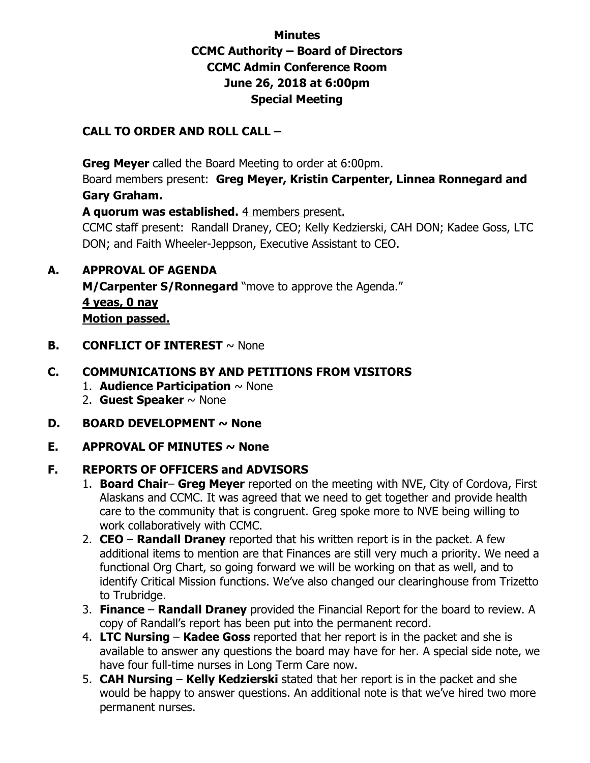### **Minutes CCMC Authority – Board of Directors CCMC Admin Conference Room June 26, 2018 at 6:00pm Special Meeting**

#### **CALL TO ORDER AND ROLL CALL –**

 **Greg Meyer** called the Board Meeting to order at 6:00pm.

Board members present: **Greg Meyer, Kristin Carpenter, Linnea Ronnegard and Gary Graham.** 

**A quorum was established.** 4 members present.

CCMC staff present: Randall Draney, CEO; Kelly Kedzierski, CAH DON; Kadee Goss, LTC DON; and Faith Wheeler-Jeppson, Executive Assistant to CEO.

#### **A. APPROVAL OF AGENDA**

**M/Carpenter S/Ronnegard** "move to approve the Agenda." **4 yeas, 0 nay Motion passed.** 

**B. CONFLICT OF INTEREST**  $\sim$  None

#### **C. COMMUNICATIONS BY AND PETITIONS FROM VISITORS**

- 1. **Audience Participation** ~ None
- 2. **Guest Speaker** ~ None
- **D. BOARD DEVELOPMENT ~ None**
- **E.** APPROVAL OF MINUTES  $\sim$  None

#### **F. REPORTS OF OFFICERS and ADVISORS**

- 1. **Board Chair Greg Meyer** reported on the meeting with NVE, City of Cordova, First Alaskans and CCMC. It was agreed that we need to get together and provide health care to the community that is congruent. Greg spoke more to NVE being willing to work collaboratively with CCMC.
- 2. **CEO Randall Draney** reported that his written report is in the packet. A few additional items to mention are that Finances are still very much a priority. We need a functional Org Chart, so going forward we will be working on that as well, and to identify Critical Mission functions. We've also changed our clearinghouse from Trizetto to Trubridge.
- 3. **Finance Randall Draney** provided the Financial Report for the board to review. A copy of Randall's report has been put into the permanent record.
- 4. **LTC Nursing Kadee Goss** reported that her report is in the packet and she is available to answer any questions the board may have for her. A special side note, we have four full-time nurses in Long Term Care now.
- 5. **CAH Nursing Kelly Kedzierski** stated that her report is in the packet and she would be happy to answer questions. An additional note is that we've hired two more permanent nurses.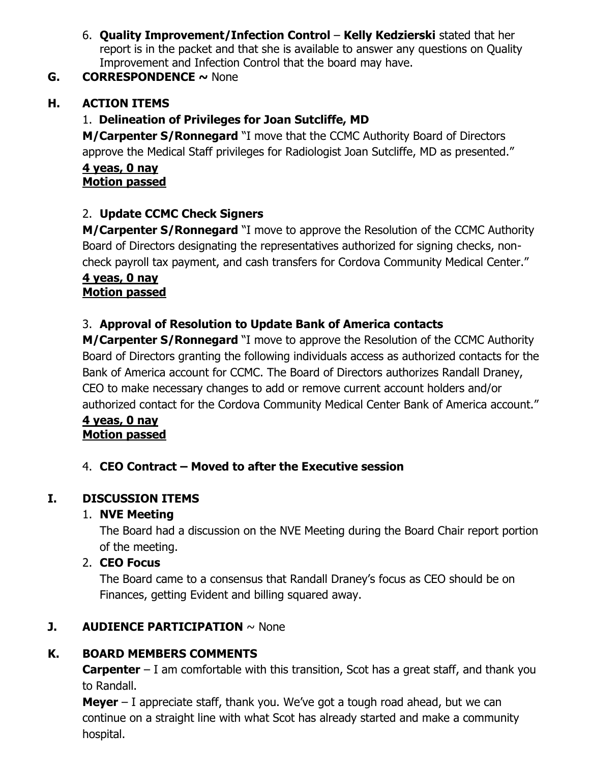6. **Quality Improvement/Infection Control** – **Kelly Kedzierski** stated that her report is in the packet and that she is available to answer any questions on Quality Improvement and Infection Control that the board may have.

## **G. CORRESPONDENCE ~** None

## **H. ACTION ITEMS**

## 1. **Delineation of Privileges for Joan Sutcliffe, MD**

**M/Carpenter S/Ronnegard** "I move that the CCMC Authority Board of Directors approve the Medical Staff privileges for Radiologist Joan Sutcliffe, MD as presented."

#### **4 yeas, 0 nay Motion passed**

# 2. **Update CCMC Check Signers**

**M/Carpenter S/Ronnegard** "I move to approve the Resolution of the CCMC Authority Board of Directors designating the representatives authorized for signing checks, noncheck payroll tax payment, and cash transfers for Cordova Community Medical Center."

#### **4 yeas, 0 nay Motion passed**

# 3. **Approval of Resolution to Update Bank of America contacts**

**M/Carpenter S/Ronnegard** "I move to approve the Resolution of the CCMC Authority Board of Directors granting the following individuals access as authorized contacts for the Bank of America account for CCMC. The Board of Directors authorizes Randall Draney, CEO to make necessary changes to add or remove current account holders and/or authorized contact for the Cordova Community Medical Center Bank of America account."

#### **4 yeas, 0 nay Motion passed**

## 4. **CEO Contract – Moved to after the Executive session**

# **I. DISCUSSION ITEMS**

## 1. **NVE Meeting**

The Board had a discussion on the NVE Meeting during the Board Chair report portion of the meeting.

## 2. **CEO Focus**

The Board came to a consensus that Randall Draney's focus as CEO should be on Finances, getting Evident and billing squared away.

## **J. AUDIENCE PARTICIPATION**  $\sim$  None

## **K. BOARD MEMBERS COMMENTS**

**Carpenter** – I am comfortable with this transition, Scot has a great staff, and thank you to Randall.

**Meyer** – I appreciate staff, thank you. We've got a tough road ahead, but we can continue on a straight line with what Scot has already started and make a community hospital.